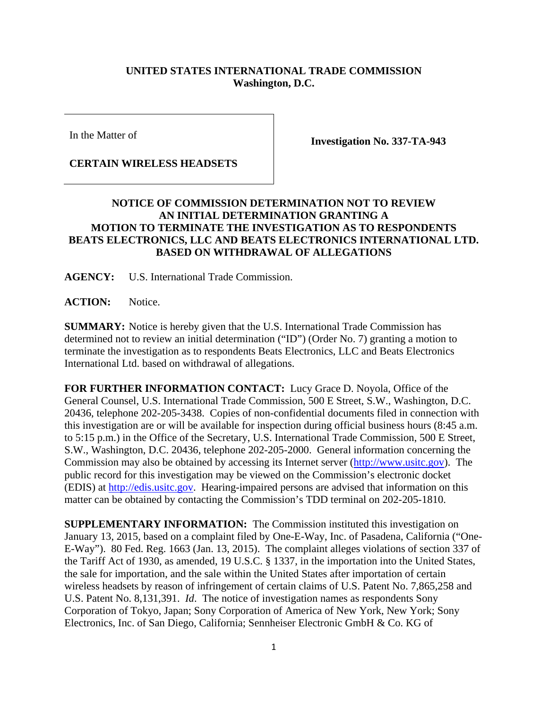## **UNITED STATES INTERNATIONAL TRADE COMMISSION Washington, D.C.**

In the Matter of

## **CERTAIN WIRELESS HEADSETS**

**Investigation No. 337-TA-943** 

## **NOTICE OF COMMISSION DETERMINATION NOT TO REVIEW AN INITIAL DETERMINATION GRANTING A MOTION TO TERMINATE THE INVESTIGATION AS TO RESPONDENTS BEATS ELECTRONICS, LLC AND BEATS ELECTRONICS INTERNATIONAL LTD. BASED ON WITHDRAWAL OF ALLEGATIONS**

**AGENCY:** U.S. International Trade Commission.

**ACTION:** Notice.

**SUMMARY:** Notice is hereby given that the U.S. International Trade Commission has determined not to review an initial determination ("ID") (Order No. 7) granting a motion to terminate the investigation as to respondents Beats Electronics, LLC and Beats Electronics International Ltd. based on withdrawal of allegations.

**FOR FURTHER INFORMATION CONTACT:** Lucy Grace D. Noyola, Office of the General Counsel, U.S. International Trade Commission, 500 E Street, S.W., Washington, D.C. 20436, telephone 202-205-3438. Copies of non-confidential documents filed in connection with this investigation are or will be available for inspection during official business hours (8:45 a.m. to 5:15 p.m.) in the Office of the Secretary, U.S. International Trade Commission, 500 E Street, S.W., Washington, D.C. 20436, telephone 202-205-2000. General information concerning the Commission may also be obtained by accessing its Internet server (http://www.usitc.gov). The public record for this investigation may be viewed on the Commission's electronic docket (EDIS) at http://edis.usitc.gov. Hearing-impaired persons are advised that information on this matter can be obtained by contacting the Commission's TDD terminal on 202-205-1810.

**SUPPLEMENTARY INFORMATION:** The Commission instituted this investigation on January 13, 2015, based on a complaint filed by One-E-Way, Inc. of Pasadena, California ("One-E-Way"). 80 Fed. Reg. 1663 (Jan. 13, 2015). The complaint alleges violations of section 337 of the Tariff Act of 1930, as amended, 19 U.S.C. § 1337, in the importation into the United States, the sale for importation, and the sale within the United States after importation of certain wireless headsets by reason of infringement of certain claims of U.S. Patent No. 7,865,258 and U.S. Patent No. 8,131,391. *Id*. The notice of investigation names as respondents Sony Corporation of Tokyo, Japan; Sony Corporation of America of New York, New York; Sony Electronics, Inc. of San Diego, California; Sennheiser Electronic GmbH & Co. KG of